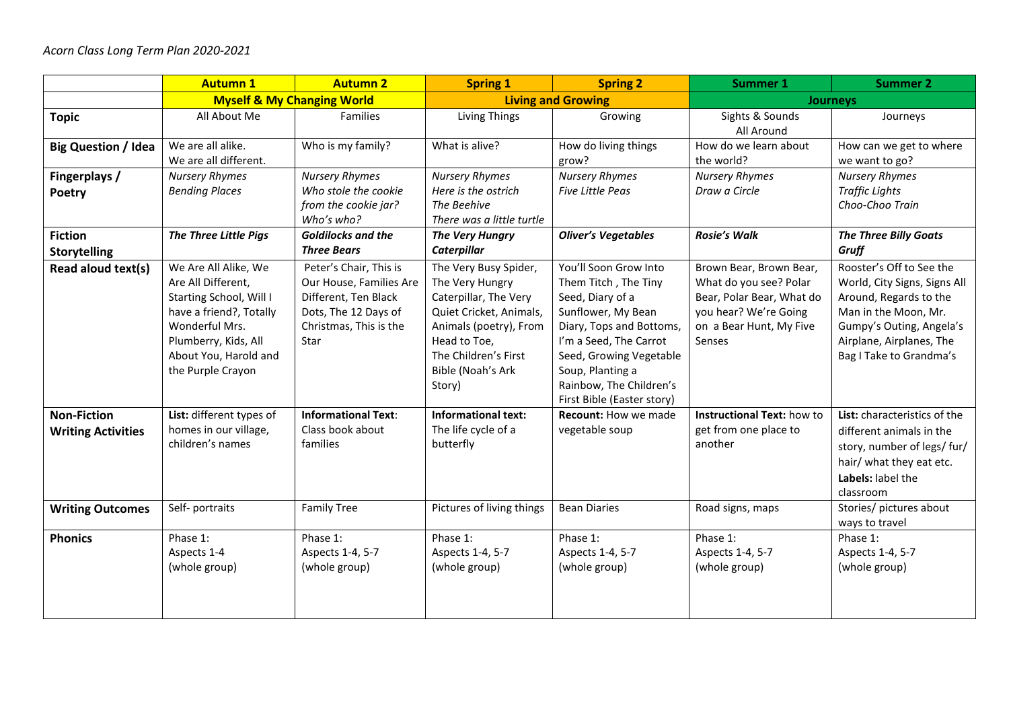|                                                 | <b>Autumn 1</b>                                                                                                                                                                          | <b>Autumn 2</b>                                                                                                                     | <b>Spring 1</b>                                                                                                                                                                               | <b>Spring 2</b>                                                                                                                                                                                                                                       | <b>Summer 1</b>                                                                                                                              | <b>Summer 2</b>                                                                                                                                                                               |
|-------------------------------------------------|------------------------------------------------------------------------------------------------------------------------------------------------------------------------------------------|-------------------------------------------------------------------------------------------------------------------------------------|-----------------------------------------------------------------------------------------------------------------------------------------------------------------------------------------------|-------------------------------------------------------------------------------------------------------------------------------------------------------------------------------------------------------------------------------------------------------|----------------------------------------------------------------------------------------------------------------------------------------------|-----------------------------------------------------------------------------------------------------------------------------------------------------------------------------------------------|
|                                                 | <b>Myself &amp; My Changing World</b>                                                                                                                                                    |                                                                                                                                     | <b>Living and Growing</b>                                                                                                                                                                     |                                                                                                                                                                                                                                                       | <b>Journeys</b>                                                                                                                              |                                                                                                                                                                                               |
| <b>Topic</b>                                    | All About Me                                                                                                                                                                             | <b>Families</b>                                                                                                                     | Living Things                                                                                                                                                                                 | Growing                                                                                                                                                                                                                                               | Sights & Sounds<br>All Around                                                                                                                | Journeys                                                                                                                                                                                      |
| <b>Big Question / Idea</b>                      | We are all alike.<br>We are all different.                                                                                                                                               | Who is my family?                                                                                                                   | What is alive?                                                                                                                                                                                | How do living things<br>grow?                                                                                                                                                                                                                         | How do we learn about<br>the world?                                                                                                          | How can we get to where<br>we want to go?                                                                                                                                                     |
| Fingerplays /<br>Poetry                         | <b>Nursery Rhymes</b><br><b>Bending Places</b>                                                                                                                                           | <b>Nursery Rhymes</b><br>Who stole the cookie<br>from the cookie jar?<br>Who's who?                                                 | <b>Nursery Rhymes</b><br>Here is the ostrich<br>The Beehive<br>There was a little turtle                                                                                                      | <b>Nursery Rhymes</b><br><b>Five Little Peas</b>                                                                                                                                                                                                      | <b>Nursery Rhymes</b><br>Draw a Circle                                                                                                       | <b>Nursery Rhymes</b><br><b>Traffic Lights</b><br>Choo-Choo Train                                                                                                                             |
| <b>Fiction</b><br><b>Storytelling</b>           | The Three Little Pigs                                                                                                                                                                    | <b>Goldilocks and the</b><br><b>Three Bears</b>                                                                                     | The Very Hungry<br>Caterpillar                                                                                                                                                                | <b>Oliver's Vegetables</b>                                                                                                                                                                                                                            | <b>Rosie's Walk</b>                                                                                                                          | <b>The Three Billy Goats</b><br>Gruff                                                                                                                                                         |
| Read aloud text(s)                              | We Are All Alike, We<br>Are All Different,<br>Starting School, Will I<br>have a friend?, Totally<br>Wonderful Mrs.<br>Plumberry, Kids, All<br>About You, Harold and<br>the Purple Crayon | Peter's Chair, This is<br>Our House, Families Are<br>Different, Ten Black<br>Dots, The 12 Days of<br>Christmas, This is the<br>Star | The Very Busy Spider,<br>The Very Hungry<br>Caterpillar, The Very<br>Quiet Cricket, Animals,<br>Animals (poetry), From<br>Head to Toe,<br>The Children's First<br>Bible (Noah's Ark<br>Story) | You'll Soon Grow Into<br>Them Titch, The Tiny<br>Seed, Diary of a<br>Sunflower, My Bean<br>Diary, Tops and Bottoms,<br>I'm a Seed, The Carrot<br>Seed, Growing Vegetable<br>Soup, Planting a<br>Rainbow, The Children's<br>First Bible (Easter story) | Brown Bear, Brown Bear,<br>What do you see? Polar<br>Bear, Polar Bear, What do<br>you hear? We're Going<br>on a Bear Hunt, My Five<br>Senses | Rooster's Off to See the<br>World, City Signs, Signs All<br>Around, Regards to the<br>Man in the Moon, Mr.<br>Gumpy's Outing, Angela's<br>Airplane, Airplanes, The<br>Bag I Take to Grandma's |
| <b>Non-Fiction</b><br><b>Writing Activities</b> | List: different types of<br>homes in our village,<br>children's names                                                                                                                    | <b>Informational Text:</b><br>Class book about<br>families                                                                          | <b>Informational text:</b><br>The life cycle of a<br>butterfly                                                                                                                                | <b>Recount: How we made</b><br>vegetable soup                                                                                                                                                                                                         | Instructional Text: how to<br>get from one place to<br>another                                                                               | List: characteristics of the<br>different animals in the<br>story, number of legs/ fur/<br>hair/ what they eat etc.<br>Labels: label the<br>classroom                                         |
| <b>Writing Outcomes</b>                         | Self- portraits                                                                                                                                                                          | <b>Family Tree</b>                                                                                                                  | Pictures of living things                                                                                                                                                                     | <b>Bean Diaries</b>                                                                                                                                                                                                                                   | Road signs, maps                                                                                                                             | Stories/ pictures about<br>ways to travel                                                                                                                                                     |
| <b>Phonics</b>                                  | Phase 1:<br>Aspects 1-4<br>(whole group)                                                                                                                                                 | Phase 1:<br>Aspects 1-4, 5-7<br>(whole group)                                                                                       | Phase 1:<br>Aspects 1-4, 5-7<br>(whole group)                                                                                                                                                 | Phase 1:<br>Aspects 1-4, 5-7<br>(whole group)                                                                                                                                                                                                         | Phase 1:<br>Aspects 1-4, 5-7<br>(whole group)                                                                                                | Phase 1:<br>Aspects 1-4, 5-7<br>(whole group)                                                                                                                                                 |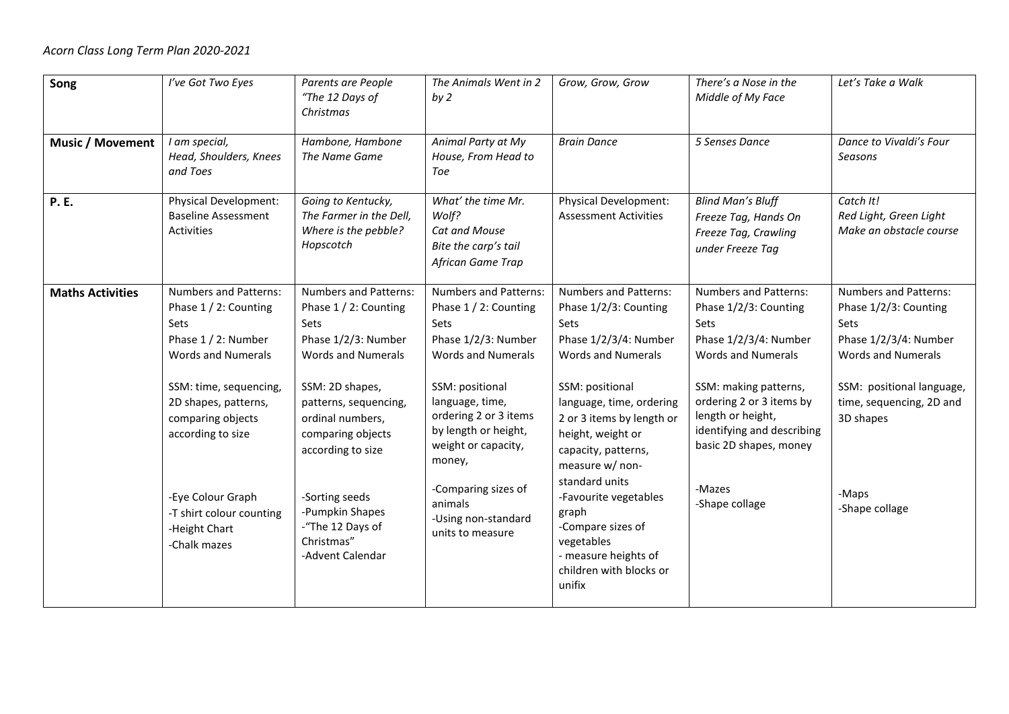| Song                    | I've Got Two Eyes                                                                                                                                                                                                                                                                               | Parents are People<br>"The 12 Days of<br>Christmas                                                                                                                                                                                                                                                                     | The Animals Went in 2<br>by <sub>2</sub>                                                                                                                                                                                                                                                                               | Grow, Grow, Grow                                                                                                                                                                                                                                                                                                                                                                                                   | There's a Nose in the<br>Middle of My Face                                                                                                                                                                                                                                        | Let's Take a Walk                                                                                                                                                                                                           |
|-------------------------|-------------------------------------------------------------------------------------------------------------------------------------------------------------------------------------------------------------------------------------------------------------------------------------------------|------------------------------------------------------------------------------------------------------------------------------------------------------------------------------------------------------------------------------------------------------------------------------------------------------------------------|------------------------------------------------------------------------------------------------------------------------------------------------------------------------------------------------------------------------------------------------------------------------------------------------------------------------|--------------------------------------------------------------------------------------------------------------------------------------------------------------------------------------------------------------------------------------------------------------------------------------------------------------------------------------------------------------------------------------------------------------------|-----------------------------------------------------------------------------------------------------------------------------------------------------------------------------------------------------------------------------------------------------------------------------------|-----------------------------------------------------------------------------------------------------------------------------------------------------------------------------------------------------------------------------|
| <b>Music / Movement</b> | I am special,<br>Head, Shoulders, Knees<br>and Toes                                                                                                                                                                                                                                             | Hambone, Hambone<br>The Name Game                                                                                                                                                                                                                                                                                      | Animal Party at My<br>House, From Head to<br>Toe                                                                                                                                                                                                                                                                       | <b>Brain Dance</b>                                                                                                                                                                                                                                                                                                                                                                                                 | 5 Senses Dance                                                                                                                                                                                                                                                                    | Dance to Vivaldi's Four<br>Seasons                                                                                                                                                                                          |
| <b>P.E.</b>             | <b>Physical Development:</b><br><b>Baseline Assessment</b><br><b>Activities</b>                                                                                                                                                                                                                 | Going to Kentucky,<br>The Farmer in the Dell,<br>Where is the pebble?<br>Hopscotch                                                                                                                                                                                                                                     | What' the time Mr.<br>Wolf?<br>Cat and Mouse<br>Bite the carp's tail<br>African Game Trap                                                                                                                                                                                                                              | <b>Physical Development:</b><br><b>Assessment Activities</b>                                                                                                                                                                                                                                                                                                                                                       | <b>Blind Man's Bluff</b><br>Freeze Tag, Hands On<br>Freeze Tag, Crawling<br>under Freeze Tag                                                                                                                                                                                      | Catch It!<br>Red Light, Green Light<br>Make an obstacle course                                                                                                                                                              |
| <b>Maths Activities</b> | <b>Numbers and Patterns:</b><br>Phase 1 / 2: Counting<br>Sets<br>Phase 1 / 2: Number<br><b>Words and Numerals</b><br>SSM: time, sequencing,<br>2D shapes, patterns,<br>comparing objects<br>according to size<br>-Eye Colour Graph<br>-T shirt colour counting<br>-Height Chart<br>-Chalk mazes | <b>Numbers and Patterns:</b><br>Phase 1 / 2: Counting<br>Sets<br>Phase 1/2/3: Number<br><b>Words and Numerals</b><br>SSM: 2D shapes,<br>patterns, sequencing,<br>ordinal numbers,<br>comparing objects<br>according to size<br>-Sorting seeds<br>-Pumpkin Shapes<br>-"The 12 Days of<br>Christmas"<br>-Advent Calendar | <b>Numbers and Patterns:</b><br>Phase 1 / 2: Counting<br>Sets<br>Phase 1/2/3: Number<br><b>Words and Numerals</b><br>SSM: positional<br>language, time,<br>ordering 2 or 3 items<br>by length or height,<br>weight or capacity,<br>money,<br>-Comparing sizes of<br>animals<br>-Using non-standard<br>units to measure | <b>Numbers and Patterns:</b><br>Phase 1/2/3: Counting<br>Sets<br>Phase 1/2/3/4: Number<br><b>Words and Numerals</b><br>SSM: positional<br>language, time, ordering<br>2 or 3 items by length or<br>height, weight or<br>capacity, patterns,<br>measure w/ non-<br>standard units<br>-Favourite vegetables<br>graph<br>-Compare sizes of<br>vegetables<br>- measure heights of<br>children with blocks or<br>unifix | <b>Numbers and Patterns:</b><br>Phase 1/2/3: Counting<br>Sets<br>Phase 1/2/3/4: Number<br><b>Words and Numerals</b><br>SSM: making patterns,<br>ordering 2 or 3 items by<br>length or height,<br>identifying and describing<br>basic 2D shapes, money<br>-Mazes<br>-Shape collage | <b>Numbers and Patterns:</b><br>Phase 1/2/3: Counting<br><b>Sets</b><br>Phase 1/2/3/4: Number<br><b>Words and Numerals</b><br>SSM: positional language,<br>time, sequencing, 2D and<br>3D shapes<br>-Maps<br>-Shape collage |